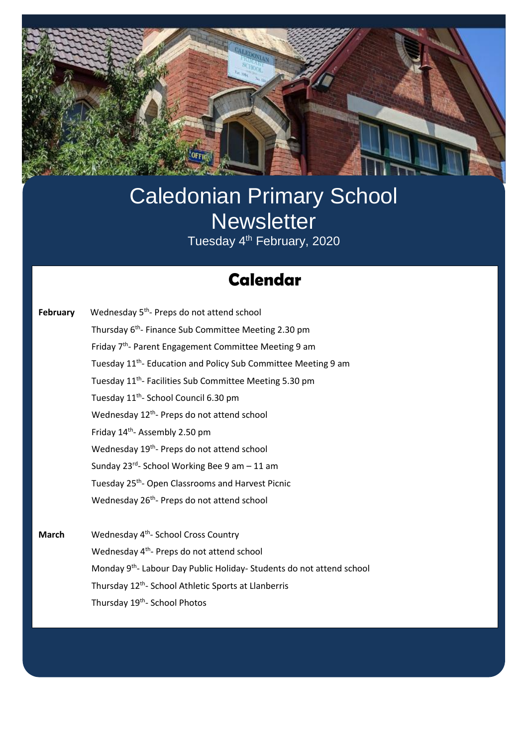

# Caledonian Primary School **Newsletter**

Tuesday 4<sup>th</sup> February, 2020

## **Swimming Calendar**

| February | Wednesday 5 <sup>th</sup> - Preps do not attend school                     |
|----------|----------------------------------------------------------------------------|
|          | Thursday 6 <sup>th</sup> - Finance Sub Committee Meeting 2.30 pm           |
|          | Friday 7 <sup>th</sup> - Parent Engagement Committee Meeting 9 am          |
|          | Tuesday 11 <sup>th</sup> - Education and Policy Sub Committee Meeting 9 am |
|          | Tuesday 11 <sup>th</sup> - Facilities Sub Committee Meeting 5.30 pm        |
|          | Tuesday 11 <sup>th</sup> - School Council 6.30 pm                          |
|          | Wednesday 12 <sup>th</sup> - Preps do not attend school                    |
|          | Friday 14 <sup>th</sup> - Assembly 2.50 pm                                 |
|          | Wednesday 19 <sup>th</sup> - Preps do not attend school                    |
|          | Sunday 23rd- School Working Bee 9 am - 11 am                               |
|          | Tuesday 25 <sup>th</sup> - Open Classrooms and Harvest Picnic              |
|          | Wednesday 26 <sup>th</sup> - Preps do not attend school                    |
|          |                                                                            |
|          |                                                                            |

March Wednesday 4<sup>th</sup>- School Cross Country Wednesday 4<sup>th</sup>- Preps do not attend school Monday 9<sup>th</sup>- Labour Day Public Holiday- Students do not attend school Thursday 12<sup>th</sup>- School Athletic Sports at Llanberris Thursday 19<sup>th</sup>- School Photos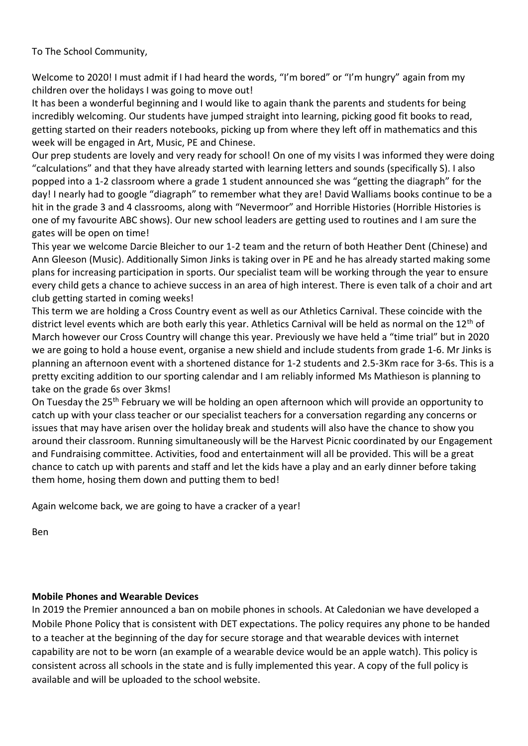To The School Community,

Welcome to 2020! I must admit if I had heard the words, "I'm bored" or "I'm hungry" again from my children over the holidays I was going to move out!

It has been a wonderful beginning and I would like to again thank the parents and students for being incredibly welcoming. Our students have jumped straight into learning, picking good fit books to read, getting started on their readers notebooks, picking up from where they left off in mathematics and this week will be engaged in Art, Music, PE and Chinese.

Our prep students are lovely and very ready for school! On one of my visits I was informed they were doing "calculations" and that they have already started with learning letters and sounds (specifically S). I also popped into a 1-2 classroom where a grade 1 student announced she was "getting the diagraph" for the day! I nearly had to google "diagraph" to remember what they are! David Walliams books continue to be a hit in the grade 3 and 4 classrooms, along with "Nevermoor" and Horrible Histories (Horrible Histories is one of my favourite ABC shows). Our new school leaders are getting used to routines and I am sure the gates will be open on time!

This year we welcome Darcie Bleicher to our 1-2 team and the return of both Heather Dent (Chinese) and Ann Gleeson (Music). Additionally Simon Jinks is taking over in PE and he has already started making some plans for increasing participation in sports. Our specialist team will be working through the year to ensure every child gets a chance to achieve success in an area of high interest. There is even talk of a choir and art club getting started in coming weeks!

This term we are holding a Cross Country event as well as our Athletics Carnival. These coincide with the district level events which are both early this year. Athletics Carnival will be held as normal on the 12<sup>th</sup> of March however our Cross Country will change this year. Previously we have held a "time trial" but in 2020 we are going to hold a house event, organise a new shield and include students from grade 1-6. Mr Jinks is planning an afternoon event with a shortened distance for 1-2 students and 2.5-3Km race for 3-6s. This is a pretty exciting addition to our sporting calendar and I am reliably informed Ms Mathieson is planning to take on the grade 6s over 3kms!

On Tuesday the 25<sup>th</sup> February we will be holding an open afternoon which will provide an opportunity to catch up with your class teacher or our specialist teachers for a conversation regarding any concerns or issues that may have arisen over the holiday break and students will also have the chance to show you around their classroom. Running simultaneously will be the Harvest Picnic coordinated by our Engagement and Fundraising committee. Activities, food and entertainment will all be provided. This will be a great chance to catch up with parents and staff and let the kids have a play and an early dinner before taking them home, hosing them down and putting them to bed!

Again welcome back, we are going to have a cracker of a year!

Ben

#### **Mobile Phones and Wearable Devices**

In 2019 the Premier announced a ban on mobile phones in schools. At Caledonian we have developed a Mobile Phone Policy that is consistent with DET expectations. The policy requires any phone to be handed to a teacher at the beginning of the day for secure storage and that wearable devices with internet capability are not to be worn (an example of a wearable device would be an apple watch). This policy is consistent across all schools in the state and is fully implemented this year. A copy of the full policy is available and will be uploaded to the school website.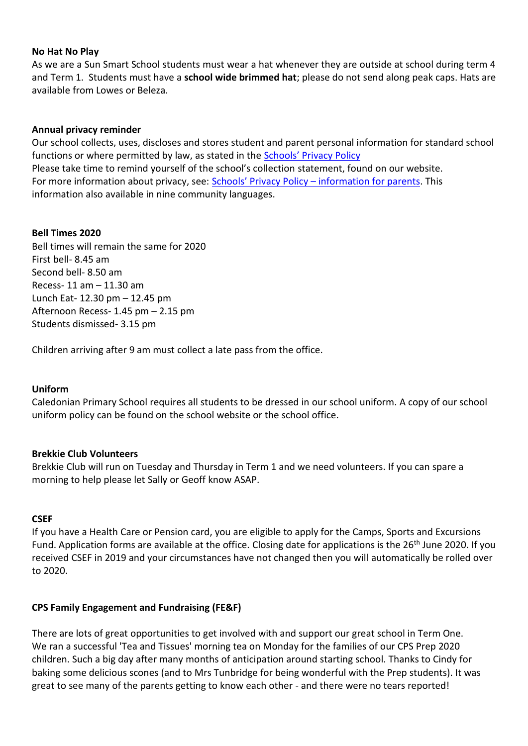#### **No Hat No Play**

As we are a Sun Smart School students must wear a hat whenever they are outside at school during term 4 and Term 1. Students must have a **school wide brimmed hat**; please do not send along peak caps. Hats are available from Lowes or Beleza.

#### **Annual privacy reminder**

Our school collects, uses, discloses and stores student and parent personal information for standard school functions or where permitted by law, as stated in the [Schools' Privacy Policy](https://www.education.vic.gov.au/Pages/schoolsprivacypolicy.aspx) Please take time to remind yourself of the school's collection statement, found on our website. For more information about privacy, see: [Schools' Privacy Policy –](https://www.education.vic.gov.au/Pages/Schools-Privacy-Policy-information-for-parents.aspx) information for parents. This information also available in nine community languages.

#### **Bell Times 2020**

Bell times will remain the same for 2020 First bell- 8.45 am Second bell- 8.50 am Recess- 11 am – 11.30 am Lunch Eat- 12.30 pm – 12.45 pm Afternoon Recess- 1.45 pm – 2.15 pm Students dismissed- 3.15 pm

Children arriving after 9 am must collect a late pass from the office.

#### **Uniform**

Caledonian Primary School requires all students to be dressed in our school uniform. A copy of our school uniform policy can be found on the school website or the school office.

#### **Brekkie Club Volunteers**

Brekkie Club will run on Tuesday and Thursday in Term 1 and we need volunteers. If you can spare a morning to help please let Sally or Geoff know ASAP.

#### **CSEF**

If you have a Health Care or Pension card, you are eligible to apply for the Camps, Sports and Excursions Fund. Application forms are available at the office. Closing date for applications is the 26<sup>th</sup> June 2020. If you received CSEF in 2019 and your circumstances have not changed then you will automatically be rolled over to 2020.

#### **CPS Family Engagement and Fundraising (FE&F)**

There are lots of great opportunities to get involved with and support our great school in Term One. We ran a successful 'Tea and Tissues' morning tea on Monday for the families of our CPS Prep 2020 children. Such a big day after many months of anticipation around starting school. Thanks to Cindy for baking some delicious scones (and to Mrs Tunbridge for being wonderful with the Prep students). It was great to see many of the parents getting to know each other - and there were no tears reported!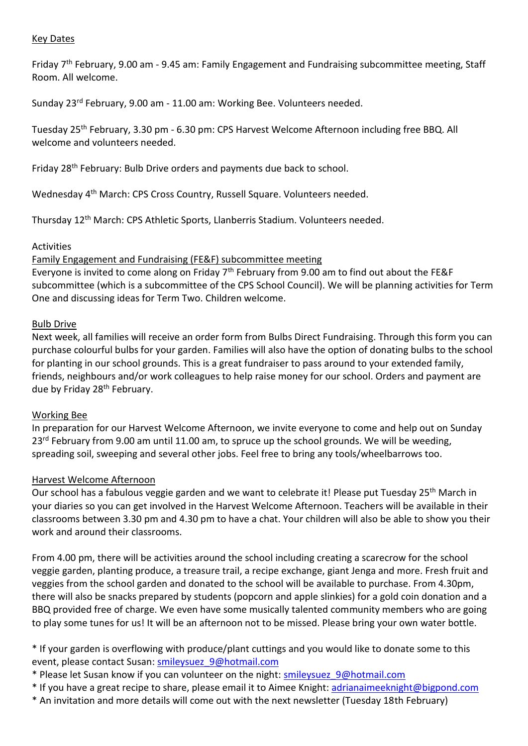#### Key Dates

Friday 7th February, 9.00 am - 9.45 am: Family Engagement and Fundraising subcommittee meeting, Staff Room. All welcome.

Sunday 23rd February, 9.00 am - 11.00 am: Working Bee. Volunteers needed.

Tuesday 25th February, 3.30 pm - 6.30 pm: CPS Harvest Welcome Afternoon including free BBQ. All welcome and volunteers needed.

Friday 28th February: Bulb Drive orders and payments due back to school.

Wednesday 4th March: CPS Cross Country, Russell Square. Volunteers needed.

Thursday 12th March: CPS Athletic Sports, Llanberris Stadium. Volunteers needed.

#### Activities

#### Family Engagement and Fundraising (FE&F) subcommittee meeting

Everyone is invited to come along on Friday  $7<sup>th</sup>$  February from 9.00 am to find out about the FE&F subcommittee (which is a subcommittee of the CPS School Council). We will be planning activities for Term One and discussing ideas for Term Two. Children welcome.

#### Bulb Drive

Next week, all families will receive an order form from Bulbs Direct Fundraising. Through this form you can purchase colourful bulbs for your garden. Families will also have the option of donating bulbs to the school for planting in our school grounds. This is a great fundraiser to pass around to your extended family, friends, neighbours and/or work colleagues to help raise money for our school. Orders and payment are due by Friday 28<sup>th</sup> February.

#### Working Bee

In preparation for our Harvest Welcome Afternoon, we invite everyone to come and help out on Sunday 23<sup>rd</sup> February from 9.00 am until 11.00 am, to spruce up the school grounds. We will be weeding, spreading soil, sweeping and several other jobs. Feel free to bring any tools/wheelbarrows too.

#### Harvest Welcome Afternoon

Our school has a fabulous veggie garden and we want to celebrate it! Please put Tuesday 25<sup>th</sup> March in your diaries so you can get involved in the Harvest Welcome Afternoon. Teachers will be available in their classrooms between 3.30 pm and 4.30 pm to have a chat. Your children will also be able to show you their work and around their classrooms.

From 4.00 pm, there will be activities around the school including creating a scarecrow for the school veggie garden, planting produce, a treasure trail, a recipe exchange, giant Jenga and more. Fresh fruit and veggies from the school garden and donated to the school will be available to purchase. From 4.30pm, there will also be snacks prepared by students (popcorn and apple slinkies) for a gold coin donation and a BBQ provided free of charge. We even have some musically talented community members who are going to play some tunes for us! It will be an afternoon not to be missed. Please bring your own water bottle.

\* If your garden is overflowing with produce/plant cuttings and you would like to donate some to this event, please contact Susan: [smileysuez\\_9@hotmail.com](mailto:smileysuez_9@hotmail.com)

- \* Please let Susan know if you can volunteer on the night: [smileysuez\\_9@hotmail.com](mailto:smileysuez_9@hotmail.com)
- \* If you have a great recipe to share, please email it to Aimee Knight: [adrianaimeeknight@bigpond.com](mailto:adrianaimeeknight@bigpond.com)
- \* An invitation and more details will come out with the next newsletter (Tuesday 18th February)